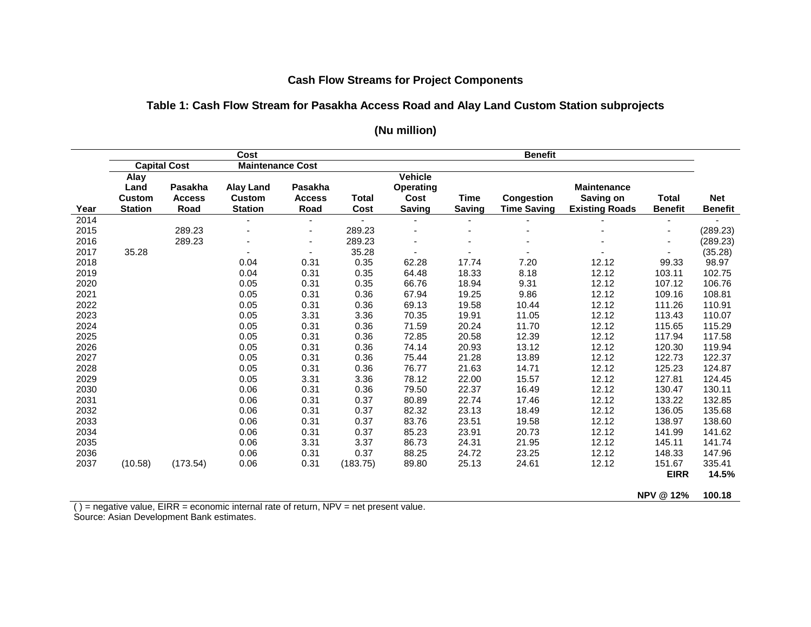## **Cash Flow Streams for Project Components**

#### **Table 1: Cash Flow Stream for Pasakha Access Road and Alay Land Custom Station subprojects**

|      | Cost                        |               |                         |                          |                | <b>Benefit</b>   |                |                    |                       |                |                |  |
|------|-----------------------------|---------------|-------------------------|--------------------------|----------------|------------------|----------------|--------------------|-----------------------|----------------|----------------|--|
|      | <b>Capital Cost</b><br>Alay |               | <b>Maintenance Cost</b> |                          |                |                  |                |                    |                       |                |                |  |
|      |                             |               |                         |                          |                | <b>Vehicle</b>   |                |                    |                       |                |                |  |
|      | Land                        | Pasakha       | <b>Alay Land</b>        | Pasakha                  |                | <b>Operating</b> |                |                    | <b>Maintenance</b>    |                |                |  |
|      | <b>Custom</b>               | <b>Access</b> | Custom                  | <b>Access</b>            | <b>Total</b>   | Cost             | Time           | <b>Congestion</b>  | Saving on             | <b>Total</b>   | <b>Net</b>     |  |
| Year | <b>Station</b>              | Road          | <b>Station</b>          | Road                     | Cost           | <b>Saving</b>    | <b>Saving</b>  | <b>Time Saving</b> | <b>Existing Roads</b> | <b>Benefit</b> | <b>Benefit</b> |  |
| 2014 |                             |               | $\blacksquare$          | $\overline{\phantom{0}}$ | $\blacksquare$ | $\blacksquare$   | $\blacksquare$ |                    |                       |                |                |  |
| 2015 |                             | 289.23        |                         | ٠                        | 289.23         |                  |                |                    |                       |                | (289.23)       |  |
| 2016 |                             | 289.23        |                         | $\blacksquare$           | 289.23         |                  |                |                    |                       |                | (289.23)       |  |
| 2017 | 35.28                       |               |                         | $\blacksquare$           | 35.28          |                  |                |                    |                       |                | (35.28)        |  |
| 2018 |                             |               | 0.04                    | 0.31                     | 0.35           | 62.28            | 17.74          | 7.20               | 12.12                 | 99.33          | 98.97          |  |
| 2019 |                             |               | 0.04                    | 0.31                     | 0.35           | 64.48            | 18.33          | 8.18               | 12.12                 | 103.11         | 102.75         |  |
| 2020 |                             |               | 0.05                    | 0.31                     | 0.35           | 66.76            | 18.94          | 9.31               | 12.12                 | 107.12         | 106.76         |  |
| 2021 |                             |               | 0.05                    | 0.31                     | 0.36           | 67.94            | 19.25          | 9.86               | 12.12                 | 109.16         | 108.81         |  |
| 2022 |                             |               | 0.05                    | 0.31                     | 0.36           | 69.13            | 19.58          | 10.44              | 12.12                 | 111.26         | 110.91         |  |
| 2023 |                             |               | 0.05                    | 3.31                     | 3.36           | 70.35            | 19.91          | 11.05              | 12.12                 | 113.43         | 110.07         |  |
| 2024 |                             |               | 0.05                    | 0.31                     | 0.36           | 71.59            | 20.24          | 11.70              | 12.12                 | 115.65         | 115.29         |  |
| 2025 |                             |               | 0.05                    | 0.31                     | 0.36           | 72.85            | 20.58          | 12.39              | 12.12                 | 117.94         | 117.58         |  |
| 2026 |                             |               | 0.05                    | 0.31                     | 0.36           | 74.14            | 20.93          | 13.12              | 12.12                 | 120.30         | 119.94         |  |
| 2027 |                             |               | 0.05                    | 0.31                     | 0.36           | 75.44            | 21.28          | 13.89              | 12.12                 | 122.73         | 122.37         |  |
| 2028 |                             |               | 0.05                    | 0.31                     | 0.36           | 76.77            | 21.63          | 14.71              | 12.12                 | 125.23         | 124.87         |  |
| 2029 |                             |               | 0.05                    | 3.31                     | 3.36           | 78.12            | 22.00          | 15.57              | 12.12                 | 127.81         | 124.45         |  |
| 2030 |                             |               | 0.06                    | 0.31                     | 0.36           | 79.50            | 22.37          | 16.49              | 12.12                 | 130.47         | 130.11         |  |
| 2031 |                             |               | 0.06                    | 0.31                     | 0.37           | 80.89            | 22.74          | 17.46              | 12.12                 | 133.22         | 132.85         |  |
| 2032 |                             |               | 0.06                    | 0.31                     | 0.37           | 82.32            | 23.13          | 18.49              | 12.12                 | 136.05         | 135.68         |  |
| 2033 |                             |               | 0.06                    | 0.31                     | 0.37           | 83.76            | 23.51          | 19.58              | 12.12                 | 138.97         | 138.60         |  |
| 2034 |                             |               | 0.06                    | 0.31                     | 0.37           | 85.23            | 23.91          | 20.73              | 12.12                 | 141.99         | 141.62         |  |
| 2035 |                             |               | 0.06                    | 3.31                     | 3.37           | 86.73            | 24.31          | 21.95              | 12.12                 | 145.11         | 141.74         |  |
| 2036 |                             |               | 0.06                    | 0.31                     | 0.37           | 88.25            | 24.72          | 23.25              | 12.12                 | 148.33         | 147.96         |  |
| 2037 | (10.58)                     | (173.54)      | 0.06                    | 0.31                     | (183.75)       | 89.80            | 25.13          | 24.61              | 12.12                 | 151.67         | 335.41         |  |
|      |                             |               |                         |                          |                |                  |                |                    |                       | <b>EIRR</b>    | 14.5%          |  |

## **(Nu million)**

**[NPV @ 12%](mailto:NPV@12%25) 100.18** 

( ) = negative value, EIRR = economic internal rate of return, NPV = net present value. Source: Asian Development Bank estimates.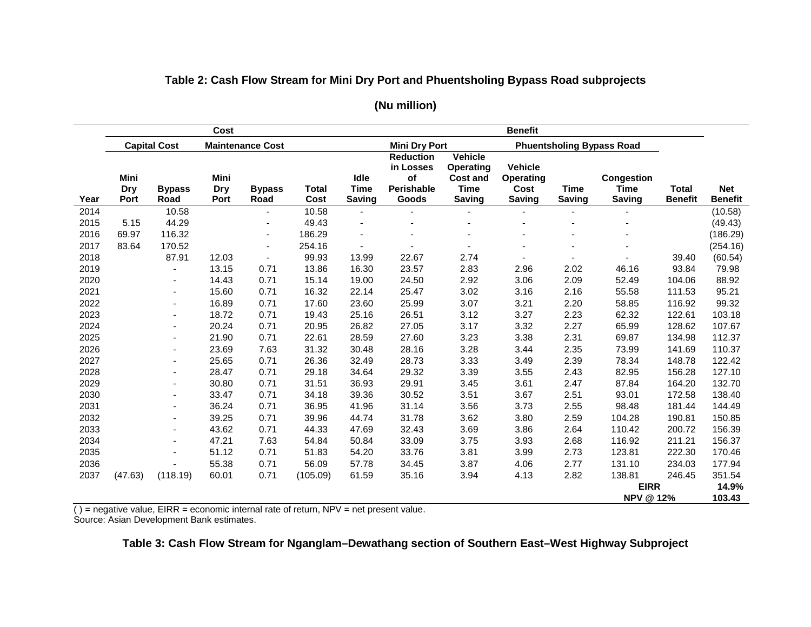# **Table 2: Cash Flow Stream for Mini Dry Port and Phuentsholing Bypass Road subprojects**

|      |                     |                          | Cost                              |                       |                      | <b>Benefit</b>                |                                                                   |                                                                                |                                                             |                              |                                                   |                                |                              |
|------|---------------------|--------------------------|-----------------------------------|-----------------------|----------------------|-------------------------------|-------------------------------------------------------------------|--------------------------------------------------------------------------------|-------------------------------------------------------------|------------------------------|---------------------------------------------------|--------------------------------|------------------------------|
|      | <b>Capital Cost</b> |                          | <b>Maintenance Cost</b>           |                       |                      |                               | <b>Mini Dry Port</b>                                              |                                                                                | <b>Phuentsholing Bypass Road</b>                            |                              |                                                   |                                |                              |
| Year | Mini<br>Dry<br>Port | <b>Bypass</b><br>Road    | <b>Mini</b><br><b>Dry</b><br>Port | <b>Bypass</b><br>Road | <b>Total</b><br>Cost | Idle<br>Time<br><b>Saving</b> | <b>Reduction</b><br>in Losses<br>of<br><b>Perishable</b><br>Goods | <b>Vehicle</b><br><b>Operating</b><br><b>Cost and</b><br>Time<br><b>Saving</b> | <b>Vehicle</b><br><b>Operating</b><br>Cost<br><b>Saving</b> | <b>Time</b><br><b>Saving</b> | <b>Congestion</b><br><b>Time</b><br><b>Saving</b> | <b>Total</b><br><b>Benefit</b> | <b>Net</b><br><b>Benefit</b> |
| 2014 |                     | 10.58                    |                                   | ٠                     | 10.58                | $\blacksquare$                |                                                                   |                                                                                |                                                             |                              |                                                   |                                | (10.58)                      |
| 2015 | 5.15                | 44.29                    |                                   | $\blacksquare$        | 49.43                |                               |                                                                   |                                                                                |                                                             |                              |                                                   |                                | (49.43)                      |
| 2016 | 69.97               | 116.32                   |                                   | $\blacksquare$        | 186.29               |                               |                                                                   |                                                                                |                                                             |                              |                                                   |                                | (186.29)                     |
| 2017 | 83.64               | 170.52                   |                                   | $\blacksquare$        | 254.16               |                               |                                                                   |                                                                                |                                                             |                              |                                                   |                                | (254.16)                     |
| 2018 |                     | 87.91                    | 12.03                             | $\mathbf{r}$          | 99.93                | 13.99                         | 22.67                                                             | 2.74                                                                           |                                                             |                              |                                                   | 39.40                          | (60.54)                      |
| 2019 |                     |                          | 13.15                             | 0.71                  | 13.86                | 16.30                         | 23.57                                                             | 2.83                                                                           | 2.96                                                        | 2.02                         | 46.16                                             | 93.84                          | 79.98                        |
| 2020 |                     | $\overline{\phantom{a}}$ | 14.43                             | 0.71                  | 15.14                | 19.00                         | 24.50                                                             | 2.92                                                                           | 3.06                                                        | 2.09                         | 52.49                                             | 104.06                         | 88.92                        |
| 2021 |                     |                          | 15.60                             | 0.71                  | 16.32                | 22.14                         | 25.47                                                             | 3.02                                                                           | 3.16                                                        | 2.16                         | 55.58                                             | 111.53                         | 95.21                        |
| 2022 |                     |                          | 16.89                             | 0.71                  | 17.60                | 23.60                         | 25.99                                                             | 3.07                                                                           | 3.21                                                        | 2.20                         | 58.85                                             | 116.92                         | 99.32                        |
| 2023 |                     |                          | 18.72                             | 0.71                  | 19.43                | 25.16                         | 26.51                                                             | 3.12                                                                           | 3.27                                                        | 2.23                         | 62.32                                             | 122.61                         | 103.18                       |
| 2024 |                     |                          | 20.24                             | 0.71                  | 20.95                | 26.82                         | 27.05                                                             | 3.17                                                                           | 3.32                                                        | 2.27                         | 65.99                                             | 128.62                         | 107.67                       |
| 2025 |                     |                          | 21.90                             | 0.71                  | 22.61                | 28.59                         | 27.60                                                             | 3.23                                                                           | 3.38                                                        | 2.31                         | 69.87                                             | 134.98                         | 112.37                       |
| 2026 |                     |                          | 23.69                             | 7.63                  | 31.32                | 30.48                         | 28.16                                                             | 3.28                                                                           | 3.44                                                        | 2.35                         | 73.99                                             | 141.69                         | 110.37                       |
| 2027 |                     |                          | 25.65                             | 0.71                  | 26.36                | 32.49                         | 28.73                                                             | 3.33                                                                           | 3.49                                                        | 2.39                         | 78.34                                             | 148.78                         | 122.42                       |
| 2028 |                     |                          | 28.47                             | 0.71                  | 29.18                | 34.64                         | 29.32                                                             | 3.39                                                                           | 3.55                                                        | 2.43                         | 82.95                                             | 156.28                         | 127.10                       |
| 2029 |                     |                          | 30.80                             | 0.71                  | 31.51                | 36.93                         | 29.91                                                             | 3.45                                                                           | 3.61                                                        | 2.47                         | 87.84                                             | 164.20                         | 132.70                       |
| 2030 |                     | $\blacksquare$           | 33.47                             | 0.71                  | 34.18                | 39.36                         | 30.52                                                             | 3.51                                                                           | 3.67                                                        | 2.51                         | 93.01                                             | 172.58                         | 138.40                       |
| 2031 |                     | $\overline{a}$           | 36.24                             | 0.71                  | 36.95                | 41.96                         | 31.14                                                             | 3.56                                                                           | 3.73                                                        | 2.55                         | 98.48                                             | 181.44                         | 144.49                       |
| 2032 |                     | $\blacksquare$           | 39.25                             | 0.71                  | 39.96                | 44.74                         | 31.78                                                             | 3.62                                                                           | 3.80                                                        | 2.59                         | 104.28                                            | 190.81                         | 150.85                       |
| 2033 |                     | $\blacksquare$           | 43.62                             | 0.71                  | 44.33                | 47.69                         | 32.43                                                             | 3.69                                                                           | 3.86                                                        | 2.64                         | 110.42                                            | 200.72                         | 156.39                       |
| 2034 |                     | $\overline{a}$           | 47.21                             | 7.63                  | 54.84                | 50.84                         | 33.09                                                             | 3.75                                                                           | 3.93                                                        | 2.68                         | 116.92                                            | 211.21                         | 156.37                       |
| 2035 |                     |                          | 51.12                             | 0.71                  | 51.83                | 54.20                         | 33.76                                                             | 3.81                                                                           | 3.99                                                        | 2.73                         | 123.81                                            | 222.30                         | 170.46                       |
| 2036 |                     |                          | 55.38                             | 0.71                  | 56.09                | 57.78                         | 34.45                                                             | 3.87                                                                           | 4.06                                                        | 2.77                         | 131.10                                            | 234.03                         | 177.94                       |
| 2037 | (47.63)             | (118.19)                 | 60.01                             | 0.71                  | (105.09)             | 61.59                         | 35.16                                                             | 3.94                                                                           | 4.13                                                        | 2.82                         | 138.81                                            | 246.45                         | 351.54                       |
|      |                     |                          |                                   |                       |                      |                               |                                                                   |                                                                                |                                                             |                              | <b>EIRR</b>                                       |                                |                              |
|      |                     |                          |                                   |                       |                      |                               |                                                                   |                                                                                |                                                             |                              | <b>NPV @ 12%</b>                                  |                                | 103.43                       |

### **(Nu million)**

( ) = negative value, EIRR = economic internal rate of return, NPV = net present value. Source: Asian Development Bank estimates.

## **Table 3: Cash Flow Stream for Nganglam–Dewathang section of Southern East–West Highway Subproject**